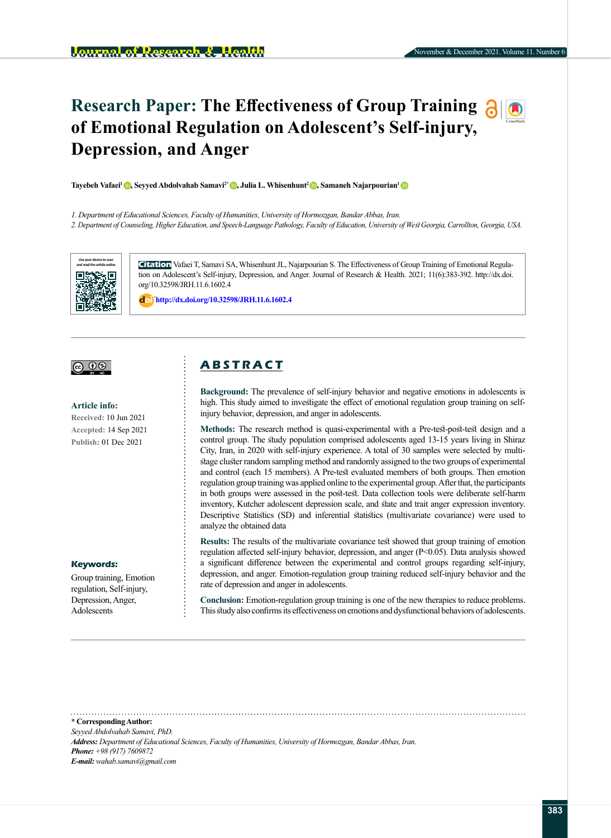# **Research Paper: The Effectiveness of Group Training**  $\partial \phi$ **of Emotional Regulation on Adolescent's Self-injury, Depression, and Anger**

**Tayebeh Vafaei<sup>1</sup> ©, Seyyed Abdolvahab Samavi<sup>2</sup> ©, Julia L. Whisenhunt<sup>2</sup> ©, Samaneh Najarpourian<sup>1</sup> ©** 

*1. Department of Educational Sciences, Faculty of Humanities, University of Hormozgan, Bandar Abbas, Iran.*

*2. Department of Counseling, Higher Education, and Speech-Language Pathology, Faculty of Education, University of West Georgia, Carrollton, Georgia, USA.*



**Citation** Vafaei T, Samavi SA, Whisenhunt JL, Najarpourian S. The Effectiveness of Group Training of Emotional Regulation on Adolescent's Self-injury, Depression, and Anger. Journal of Research & Health. 2021; 11(6):383-392. http://dx.doi. org/10.32598/JRH.11.6.1602.4

: **<http://dx.doi.org/10.32598/JRH.11.6.1602.4>**



#### **Article info:**

**Received:** 10 Jun 2021 **Accepted:** 14 Sep 2021 **Publish:** 01 Dec 2021

### **Keywords:**

Group training, Emotion regulation, Self-injury, Depression, Anger, Adolescents

# **A B S T R A C T**

**Background:** The prevalence of self-injury behavior and negative emotions in adolescents is high. This study aimed to investigate the effect of emotional regulation group training on selfinjury behavior, depression, and anger in adolescents.

**Methods:** The research method is quasi-experimental with a Pre-test-post-test design and a control group. The study population comprised adolescents aged 13-15 years living in Shiraz City, Iran, in 2020 with self-injury experience. A total of 30 samples were selected by multistage cluster random sampling method and randomly assigned to the two groups of experimental and control (each 15 members). A Pre-test evaluated members of both groups. Then emotion regulation group training was applied online to the experimental group. After that, the participants in both groups were assessed in the post-test. Data collection tools were deliberate self-harm inventory, Kutcher adolescent depression scale, and state and trait anger expression inventory. Descriptive Statistics (SD) and inferential statistics (multivariate covariance) were used to analyze the obtained data

**Results:** The results of the multivariate covariance test showed that group training of emotion regulation affected self-injury behavior, depression, and anger (P<0.05). Data analysis showed a significant difference between the experimental and control groups regarding self-injury, depression, and anger. Emotion-regulation group training reduced self-injury behavior and the rate of depression and anger in adolescents.

**Conclusion:** Emotion-regulation group training is one of the new therapies to reduce problems. This study also confirms its effectiveness on emotions and dysfunctional behaviors of adolescents.

**\* Corresponding Author:** *Seyyed Abdolvahab Samavi, PhD. Address: Department of Educational Sciences, Faculty of Humanities, University of Hormozgan, Bandar Abbas, Iran. Phone: +98 (917) 7609872 E-mail: wahab.samavi@gmail.com*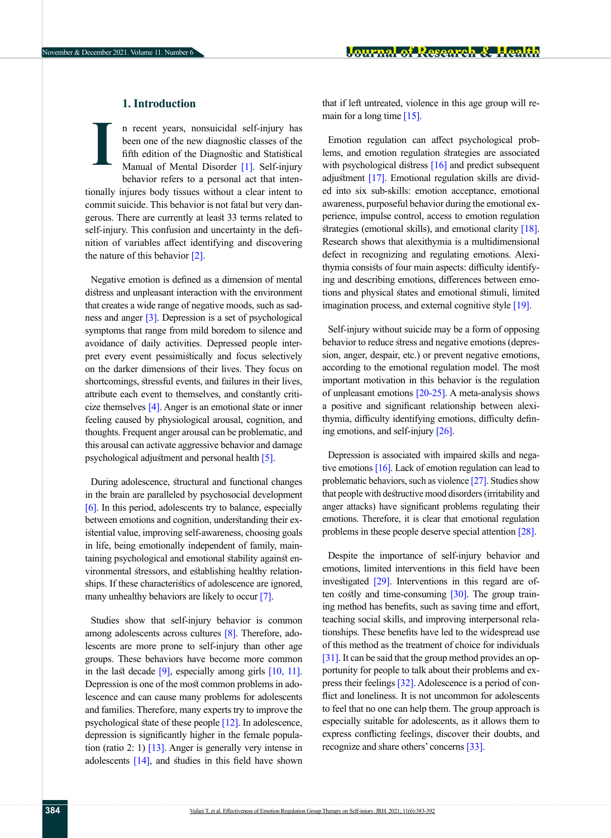# **1. Introduction**

n recent years, nonsuicidal self-injury has been one of the new diagnostic classes of the fifth edition of the Diagnostic and Statistical Manual of Mental Disorder [\[1\]](#page-7-0). Self-injury behavior refers to a personal act that intentionally injures body tissues without a clear intent to commit suicide. This behavior is not fatal but very dangerous. There are currently at least 33 terms related to self-injury. This confusion and uncertainty in the definition of variables affect identifying and discovering the nature of this behavior  $[2]$ . **I**

Negative emotion is defined as a dimension of mental distress and unpleasant interaction with the environment that creates a wide range of negative moods, such as sad-ness and anger [\[3\].](#page-7-2) Depression is a set of psychological symptoms that range from mild boredom to silence and avoidance of daily activities. Depressed people interpret every event pessimistically and focus selectively on the darker dimensions of their lives. They focus on shortcomings, stressful events, and failures in their lives, attribute each event to themselves, and constantly criticize themselves  $[4]$ . Anger is an emotional state or inner feeling caused by physiological arousal, cognition, and thoughts. Frequent anger arousal can be problematic, and this arousal can activate aggressive behavior and damage psychological adjustment and personal health [\[5\]](#page-7-4).

During adolescence, structural and functional changes in the brain are paralleled by psychosocial development [\[6\]](#page-7-5). In this period, adolescents try to balance, especially between emotions and cognition, understanding their existential value, improving self-awareness, choosing goals in life, being emotionally independent of family, maintaining psychological and emotional stability against environmental stressors, and establishing healthy relationships. If these characteristics of adolescence are ignored, many unhealthy behaviors are likely to occur [\[7\]](#page-7-6).

Studies show that self-injury behavior is common among adolescents across cultures [\[8\]](#page-7-7). Therefore, adolescents are more prone to self-injury than other age groups. These behaviors have become more common in the last decade  $[9]$ , especially among girls  $[10, 11]$  $[10, 11]$  $[10, 11]$ . Depression is one of the most common problems in adolescence and can cause many problems for adolescents and families. Therefore, many experts try to improve the psychological state of these people [\[12\]](#page-7-11). In adolescence, depression is significantly higher in the female population (ratio 2: 1)  $\left[13\right]$ . Anger is generally very intense in adolescents  $[14]$ , and studies in this field have shown that if left untreated, violence in this age group will remain for a long time [\[15\]](#page-7-14).

Emotion regulation can affect psychological problems, and emotion regulation strategies are associated with psychological distress [\[16\]](#page-8-0) and predict subsequent adjustment [\[17\]](#page-8-1). Emotional regulation skills are divided into six sub-skills: emotion acceptance, emotional awareness, purposeful behavior during the emotional experience, impulse control, access to emotion regulation strategies (emotional skills), and emotional clarity [\[18\]](#page-8-2). Research shows that alexithymia is a multidimensional defect in recognizing and regulating emotions. Alexithymia consists of four main aspects: difficulty identifying and describing emotions, differences between emotions and physical states and emotional stimuli, limited imagination process, and external cognitive style [\[19\]](#page-8-3).

Self-injury without suicide may be a form of opposing behavior to reduce stress and negative emotions (depression, anger, despair, etc.) or prevent negative emotions, according to the emotional regulation model. The most important motivation in this behavior is the regulation of unpleasant emotions [\[20-25\]](#page-8-4). A meta-analysis shows a positive and significant relationship between alexithymia, difficulty identifying emotions, difficulty defining emotions, and self-injury [\[26\]](#page-8-5).

Depression is associated with impaired skills and negative emotions [\[16\].](#page-8-0) Lack of emotion regulation can lead to problematic behaviors, such as violence [\[27\]](#page-8-6). Studies show that people with destructive mood disorders (irritability and anger attacks) have significant problems regulating their emotions. Therefore, it is clear that emotional regulation problems in these people deserve special attention [\[28\]](#page-8-7).

Despite the importance of self-injury behavior and emotions, limited interventions in this field have been investigated [\[29\]](#page-8-8). Interventions in this regard are often costly and time-consuming [\[30\]](#page-8-9). The group training method has benefits, such as saving time and effort, teaching social skills, and improving interpersonal relationships. These benefits have led to the widespread use of this method as the treatment of choice for individuals [\[31\]](#page-8-10). It can be said that the group method provides an opportunity for people to talk about their problems and express their feelings [\[32\]](#page-8-11). Adolescence is a period of conflict and loneliness. It is not uncommon for adolescents to feel that no one can help them. The group approach is especially suitable for adolescents, as it allows them to express conflicting feelings, discover their doubts, and recognize and share others' concerns [\[33\]](#page-8-12).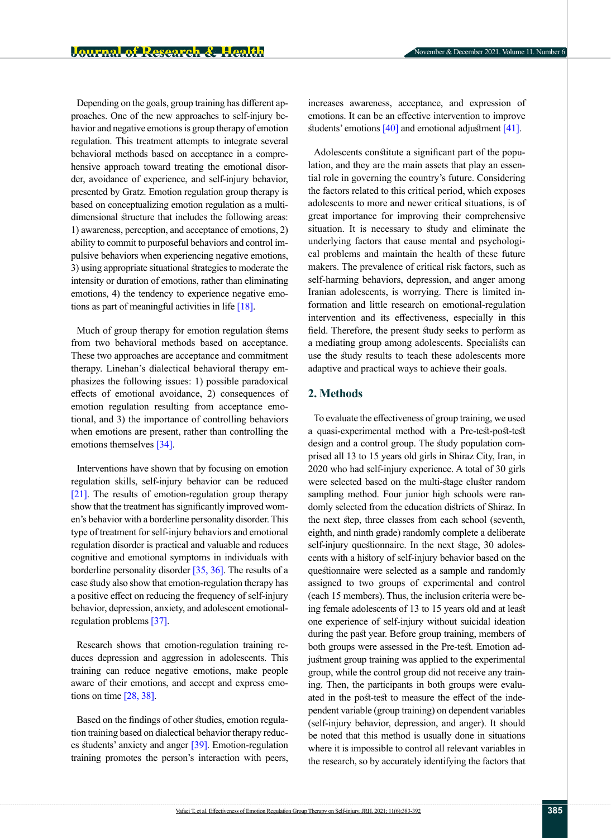November & December 2021. Volume 11. Number 6

Depending on the goals, group training has different approaches. One of the new approaches to self-injury behavior and negative emotions is group therapy of emotion regulation. This treatment attempts to integrate several behavioral methods based on acceptance in a comprehensive approach toward treating the emotional disorder, avoidance of experience, and self-injury behavior, presented by Gratz. Emotion regulation group therapy is based on conceptualizing emotion regulation as a multidimensional structure that includes the following areas: 1) awareness, perception, and acceptance of emotions, 2) ability to commit to purposeful behaviors and control impulsive behaviors when experiencing negative emotions, 3) using appropriate situational strategies to moderate the intensity or duration of emotions, rather than eliminating emotions, 4) the tendency to experience negative emotions as part of meaningful activities in life [\[18\]](#page-8-2).

Much of group therapy for emotion regulation stems from two behavioral methods based on acceptance. These two approaches are acceptance and commitment therapy. Linehan's dialectical behavioral therapy emphasizes the following issues: 1) possible paradoxical effects of emotional avoidance, 2) consequences of emotion regulation resulting from acceptance emotional, and 3) the importance of controlling behaviors when emotions are present, rather than controlling the emotions themselves [\[34\]](#page-8-13).

Interventions have shown that by focusing on emotion regulation skills, self-injury behavior can be reduced [\[21\]](#page-8-14). The results of emotion-regulation group therapy show that the treatment has significantly improved women's behavior with a borderline personality disorder. This type of treatment for self-injury behaviors and emotional regulation disorder is practical and valuable and reduces cognitive and emotional symptoms in individuals with borderline personality disorder [35, [36\]](#page-8-15). The results of a case study also show that emotion-regulation therapy has a positive effect on reducing the frequency of self-injury behavior, depression, anxiety, and adolescent emotionalregulation problems [\[37\]](#page-8-16).

Research shows that emotion-regulation training reduces depression and aggression in adolescents. This training can reduce negative emotions, make people aware of their emotions, and accept and express emotions on time [\[28,](#page-8-7) [38\]](#page-8-17).

Based on the findings of other studies, emotion regulation training based on dialectical behavior therapy reduces students' anxiety and anger [\[39\]](#page-8-18). Emotion-regulation training promotes the person's interaction with peers, increases awareness, acceptance, and expression of emotions. It can be an effective intervention to improve students' emotions [\[40\]](#page-8-19) and emotional adjustment [\[41\]](#page-9-0).

Adolescents constitute a significant part of the population, and they are the main assets that play an essential role in governing the country's future. Considering the factors related to this critical period, which exposes adolescents to more and newer critical situations, is of great importance for improving their comprehensive situation. It is necessary to study and eliminate the underlying factors that cause mental and psychological problems and maintain the health of these future makers. The prevalence of critical risk factors, such as self-harming behaviors, depression, and anger among Iranian adolescents, is worrying. There is limited information and little research on emotional-regulation intervention and its effectiveness, especially in this field. Therefore, the present study seeks to perform as a mediating group among adolescents. Specialists can use the study results to teach these adolescents more adaptive and practical ways to achieve their goals.

# **2. Methods**

To evaluate the effectiveness of group training, we used a quasi-experimental method with a Pre-test-post-test design and a control group. The study population comprised all 13 to 15 years old girls in Shiraz City, Iran, in 2020 who had self-injury experience. A total of 30 girls were selected based on the multi-stage cluster random sampling method. Four junior high schools were randomly selected from the education districts of Shiraz. In the next step, three classes from each school (seventh, eighth, and ninth grade) randomly complete a deliberate self-injury questionnaire. In the next stage, 30 adolescents with a history of self-injury behavior based on the questionnaire were selected as a sample and randomly assigned to two groups of experimental and control (each 15 members). Thus, the inclusion criteria were being female adolescents of 13 to 15 years old and at least one experience of self-injury without suicidal ideation during the past year. Before group training, members of both groups were assessed in the Pre-test. Emotion adjustment group training was applied to the experimental group, while the control group did not receive any training. Then, the participants in both groups were evaluated in the post-test to measure the effect of the independent variable (group training) on dependent variables (self-injury behavior, depression, and anger). It should be noted that this method is usually done in situations where it is impossible to control all relevant variables in the research, so by accurately identifying the factors that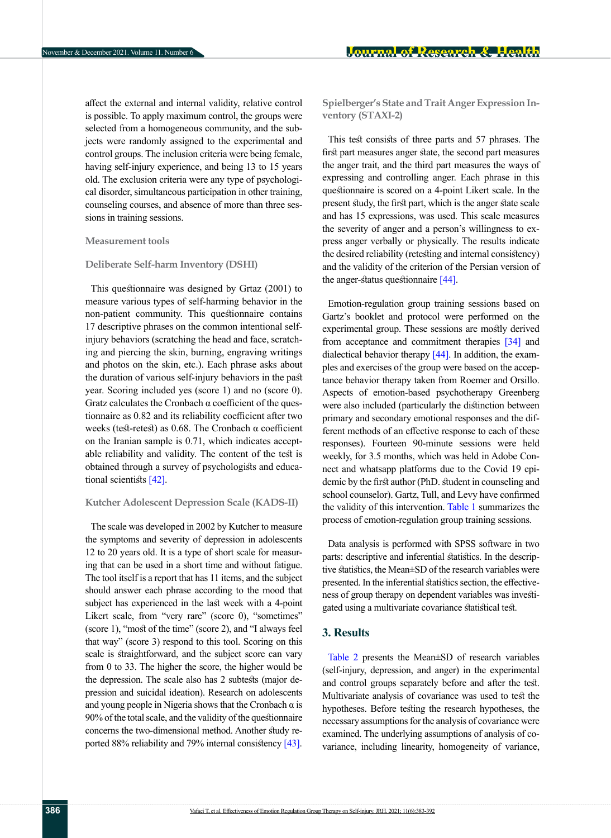affect the external and internal validity, relative control is possible. To apply maximum control, the groups were selected from a homogeneous community, and the subjects were randomly assigned to the experimental and control groups. The inclusion criteria were being female, having self-injury experience, and being 13 to 15 years old. The exclusion criteria were any type of psychological disorder, simultaneous participation in other training, counseling courses, and absence of more than three sessions in training sessions.

### **Measurement tools**

### **Deliberate Self-harm Inventory (DSHI)**

This questionnaire was designed by Grtaz (2001) to measure various types of self-harming behavior in the non-patient community. This questionnaire contains 17 descriptive phrases on the common intentional selfinjury behaviors (scratching the head and face, scratching and piercing the skin, burning, engraving writings and photos on the skin, etc.). Each phrase asks about the duration of various self-injury behaviors in the past year. Scoring included yes (score 1) and no (score 0). Gratz calculates the Cronbach α coefficient of the questionnaire as 0.82 and its reliability coefficient after two weeks (test-retest) as  $0.68$ . The Cronbach  $\alpha$  coefficient on the Iranian sample is 0.71, which indicates acceptable reliability and validity. The content of the test is obtained through a survey of psychologists and educa-tional scientists [\[42\]](#page-9-1).

### **Kutcher Adolescent Depression Scale (KADS-II)**

The scale was developed in 2002 by Kutcher to measure the symptoms and severity of depression in adolescents 12 to 20 years old. It is a type of short scale for measuring that can be used in a short time and without fatigue. The tool itself is a report that has 11 items, and the subject should answer each phrase according to the mood that subject has experienced in the last week with a 4-point Likert scale, from "very rare" (score 0), "sometimes" (score 1), "most of the time" (score 2), and "I always feel that way" (score 3) respond to this tool. Scoring on this scale is straightforward, and the subject score can vary from 0 to 33. The higher the score, the higher would be the depression. The scale also has 2 subtests (major depression and suicidal ideation). Research on adolescents and young people in Nigeria shows that the Cronbach  $\alpha$  is 90% of the total scale, and the validity of the questionnaire concerns the two-dimensional method. Another study reported 88% reliability and 79% internal consistency [43]. **Spielberger's State and Trait Anger Expression Inventory (STAXI-2)**

This test consists of three parts and 57 phrases. The first part measures anger state, the second part measures the anger trait, and the third part measures the ways of expressing and controlling anger. Each phrase in this questionnaire is scored on a 4-point Likert scale. In the present study, the first part, which is the anger state scale and has 15 expressions, was used. This scale measures the severity of anger and a person's willingness to express anger verbally or physically. The results indicate the desired reliability (retesting and internal consistency) and the validity of the criterion of the Persian version of the anger-status questionnaire [\[44\]](#page-9-2).

Emotion-regulation group training sessions based on Gartz's booklet and protocol were performed on the experimental group. These sessions are mostly derived from acceptance and commitment therapies [\[34\]](#page-8-13) and dialectical behavior therapy [\[44\]](#page-9-2). In addition, the examples and exercises of the group were based on the acceptance behavior therapy taken from Roemer and Orsillo. Aspects of emotion-based psychotherapy Greenberg were also included (particularly the distinction between primary and secondary emotional responses and the different methods of an effective response to each of these responses). Fourteen 90-minute sessions were held weekly, for 3.5 months, which was held in Adobe Connect and whatsapp platforms due to the Covid 19 epidemic by the first author (PhD. student in counseling and school counselor). Gartz, Tull, and Levy have confirmed the validity of this intervention. [Table 1](#page-4-0) summarizes the process of emotion-regulation group training sessions.

Data analysis is performed with SPSS software in two parts: descriptive and inferential statistics. In the descriptive statistics, the Mean±SD of the research variables were presented. In the inferential statistics section, the effectiveness of group therapy on dependent variables was investigated using a multivariate covariance statistical test.

# **3. Results**

[Table 2](#page-5-0) presents the Mean±SD of research variables (self-injury, depression, and anger) in the experimental and control groups separately before and after the test. Multivariate analysis of covariance was used to test the hypotheses. Before testing the research hypotheses, the necessary assumptions for the analysis of covariance were examined. The underlying assumptions of analysis of covariance, including linearity, homogeneity of variance,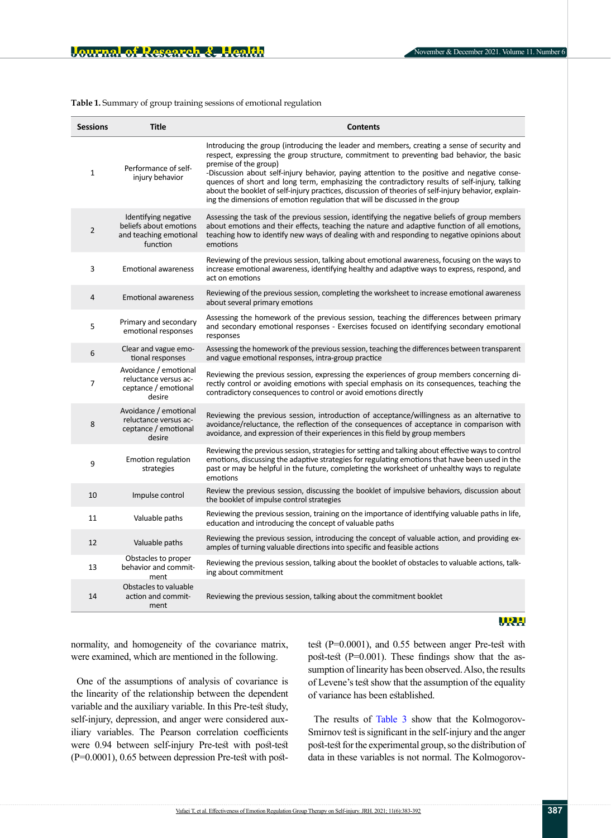<span id="page-4-0"></span>**Table 1.** Summary of group training sessions of emotional regulation

| <b>Sessions</b> | <b>Title</b>                                                                         | <b>Contents</b>                                                                                                                                                                                                                                                                                                                                                                                                                                                                                                                                                                                            |
|-----------------|--------------------------------------------------------------------------------------|------------------------------------------------------------------------------------------------------------------------------------------------------------------------------------------------------------------------------------------------------------------------------------------------------------------------------------------------------------------------------------------------------------------------------------------------------------------------------------------------------------------------------------------------------------------------------------------------------------|
| $\mathbf{1}$    | Performance of self-<br>injury behavior                                              | Introducing the group (introducing the leader and members, creating a sense of security and<br>respect, expressing the group structure, commitment to preventing bad behavior, the basic<br>premise of the group)<br>-Discussion about self-injury behavior, paying attention to the positive and negative conse-<br>quences of short and long term, emphasizing the contradictory results of self-injury, talking<br>about the booklet of self-injury practices, discussion of theories of self-injury behavior, explain-<br>ing the dimensions of emotion regulation that will be discussed in the group |
| $\overline{2}$  | Identifying negative<br>beliefs about emotions<br>and teaching emotional<br>function | Assessing the task of the previous session, identifying the negative beliefs of group members<br>about emotions and their effects, teaching the nature and adaptive function of all emotions,<br>teaching how to identify new ways of dealing with and responding to negative opinions about<br>emotions                                                                                                                                                                                                                                                                                                   |
| 3               | <b>Emotional awareness</b>                                                           | Reviewing of the previous session, talking about emotional awareness, focusing on the ways to<br>increase emotional awareness, identifying healthy and adaptive ways to express, respond, and<br>act on emotions                                                                                                                                                                                                                                                                                                                                                                                           |
| 4               | <b>Emotional awareness</b>                                                           | Reviewing of the previous session, completing the worksheet to increase emotional awareness<br>about several primary emotions                                                                                                                                                                                                                                                                                                                                                                                                                                                                              |
| 5               | Primary and secondary<br>emotional responses                                         | Assessing the homework of the previous session, teaching the differences between primary<br>and secondary emotional responses - Exercises focused on identifying secondary emotional<br>responses                                                                                                                                                                                                                                                                                                                                                                                                          |
| 6               | Clear and vague emo-<br>tional responses                                             | Assessing the homework of the previous session, teaching the differences between transparent<br>and vague emotional responses, intra-group practice                                                                                                                                                                                                                                                                                                                                                                                                                                                        |
| $\overline{7}$  | Avoidance / emotional<br>reluctance versus ac-<br>ceptance / emotional<br>desire     | Reviewing the previous session, expressing the experiences of group members concerning di-<br>rectly control or avoiding emotions with special emphasis on its consequences, teaching the<br>contradictory consequences to control or avoid emotions directly                                                                                                                                                                                                                                                                                                                                              |
| 8               | Avoidance / emotional<br>reluctance versus ac-<br>ceptance / emotional<br>desire     | Reviewing the previous session, introduction of acceptance/willingness as an alternative to<br>avoidance/reluctance, the reflection of the consequences of acceptance in comparison with<br>avoidance, and expression of their experiences in this field by group members                                                                                                                                                                                                                                                                                                                                  |
| 9               | Emotion regulation<br>strategies                                                     | Reviewing the previous session, strategies for setting and talking about effective ways to control<br>emotions, discussing the adaptive strategies for regulating emotions that have been used in the<br>past or may be helpful in the future, completing the worksheet of unhealthy ways to regulate<br>emotions                                                                                                                                                                                                                                                                                          |
| 10              | Impulse control                                                                      | Review the previous session, discussing the booklet of impulsive behaviors, discussion about<br>the booklet of impulse control strategies                                                                                                                                                                                                                                                                                                                                                                                                                                                                  |
| 11              | Valuable paths                                                                       | Reviewing the previous session, training on the importance of identifying valuable paths in life,<br>education and introducing the concept of valuable paths                                                                                                                                                                                                                                                                                                                                                                                                                                               |
| 12              | Valuable paths                                                                       | Reviewing the previous session, introducing the concept of valuable action, and providing ex-<br>amples of turning valuable directions into specific and feasible actions                                                                                                                                                                                                                                                                                                                                                                                                                                  |
| 13              | Obstacles to proper<br>behavior and commit-<br>ment                                  | Reviewing the previous session, talking about the booklet of obstacles to valuable actions, talk-<br>ing about commitment                                                                                                                                                                                                                                                                                                                                                                                                                                                                                  |
| 14              | Obstacles to valuable<br>action and commit-<br>ment                                  | Reviewing the previous session, talking about the commitment booklet                                                                                                                                                                                                                                                                                                                                                                                                                                                                                                                                       |

# **VRH**

normality, and homogeneity of the covariance matrix, were examined, which are mentioned in the following.

One of the assumptions of analysis of covariance is the linearity of the relationship between the dependent variable and the auxiliary variable. In this Pre-test study, self-injury, depression, and anger were considered auxiliary variables. The Pearson correlation coefficients were 0.94 between self-injury Pre-test with post-test (P=0.0001), 0.65 between depression Pre-test with posttest (P=0.0001), and 0.55 between anger Pre-test with post-test (P=0.001). These findings show that the assumption of linearity has been observed. Also, the results of Levene's test show that the assumption of the equality of variance has been established.

The results of [Table 3](#page-5-1) show that the Kolmogorov-Smirnov test is significant in the self-injury and the anger post-test for the experimental group, so the distribution of data in these variables is not normal. The Kolmogorov-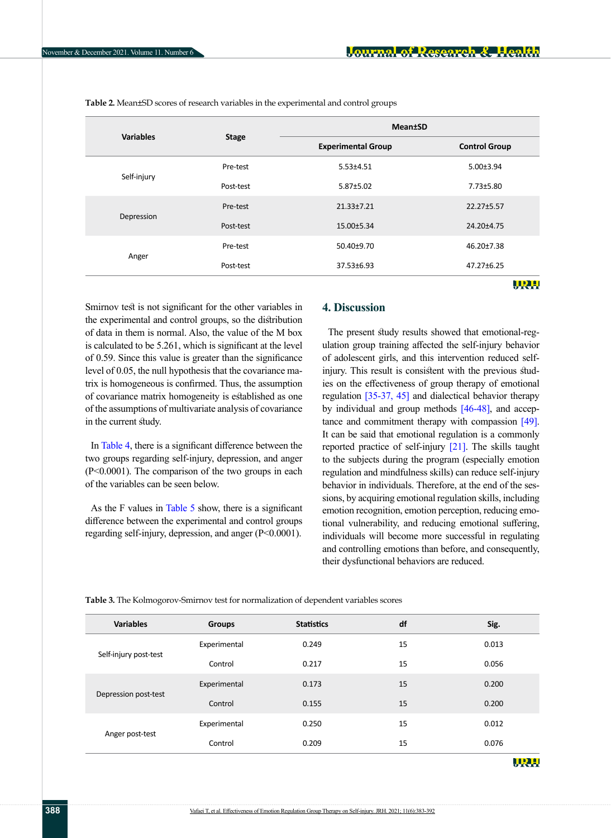|                  | <b>Stage</b> | <b>Mean</b> <sup>t</sup> SD |                      |  |
|------------------|--------------|-----------------------------|----------------------|--|
| <b>Variables</b> |              | <b>Experimental Group</b>   | <b>Control Group</b> |  |
|                  | Pre-test     | $5.53 \pm 4.51$             | $5.00 \pm 3.94$      |  |
| Self-injury      | Post-test    | $5.87 \pm 5.02$             | 7.73±5.80            |  |
|                  | Pre-test     | 21.33±7.21                  | 22.27±5.57           |  |
| Depression       | Post-test    | 15.00±5.34                  | 24.20±4.75           |  |
|                  | Pre-test     | 50.40±9.70                  | 46.20±7.38           |  |
| Anger            | Post-test    | 37.53±6.93                  | 47.27±6.25           |  |
|                  |              |                             | URH                  |  |

<span id="page-5-0"></span>**Table 2.** Mean±SD scores of research variables in the experimental and control groups

Smirnov test is not significant for the other variables in the experimental and control groups, so the distribution of data in them is normal. Also, the value of the M box is calculated to be 5.261, which is significant at the level of 0.59. Since this value is greater than the significance level of 0.05, the null hypothesis that the covariance matrix is homogeneous is confirmed. Thus, the assumption of covariance matrix homogeneity is established as one of the assumptions of multivariate analysis of covariance in the current study.

In [Table 4,](#page-6-0) there is a significant difference between the two groups regarding self-injury, depression, and anger (P<0.0001). The comparison of the two groups in each of the variables can be seen below.

As the F values in [Table 5](#page-6-1) show, there is a significant difference between the experimental and control groups regarding self-injury, depression, and anger (P<0.0001).

# **4. Discussion**

The present study results showed that emotional-regulation group training affected the self-injury behavior of adolescent girls, and this intervention reduced selfinjury. This result is consistent with the previous studies on the effectiveness of group therapy of emotional regulation [35-37, [45\]](#page-9-3) and dialectical behavior therapy by individual and group methods [\[46-48\]](#page-9-4), and acceptance and commitment therapy with compassion [\[49\]](#page-9-5). It can be said that emotional regulation is a commonly reported practice of self-injury [\[21\]](#page-8-14). The skills taught to the subjects during the program (especially emotion regulation and mindfulness skills) can reduce self-injury behavior in individuals. Therefore, at the end of the sessions, by acquiring emotional regulation skills, including emotion recognition, emotion perception, reducing emotional vulnerability, and reducing emotional suffering, individuals will become more successful in regulating and controlling emotions than before, and consequently, their dysfunctional behaviors are reduced.

<span id="page-5-1"></span>

| Table 3. The Kolmogorov-Smirnov test for normalization of dependent variables scores |  |  |  |  |  |  |  |  |
|--------------------------------------------------------------------------------------|--|--|--|--|--|--|--|--|
|--------------------------------------------------------------------------------------|--|--|--|--|--|--|--|--|

| <b>Variables</b>      | <b>Groups</b> | <b>Statistics</b> | df | Sig.  |
|-----------------------|---------------|-------------------|----|-------|
|                       | Experimental  | 0.249             | 15 | 0.013 |
| Self-injury post-test | Control       | 0.217             | 15 | 0.056 |
|                       | Experimental  | 0.173             | 15 | 0.200 |
| Depression post-test  | Control       | 0.155             | 15 | 0.200 |
|                       | Experimental  | 0.250             | 15 | 0.012 |
| Anger post-test       | Control       | 0.209             | 15 | 0.076 |
|                       |               |                   |    |       |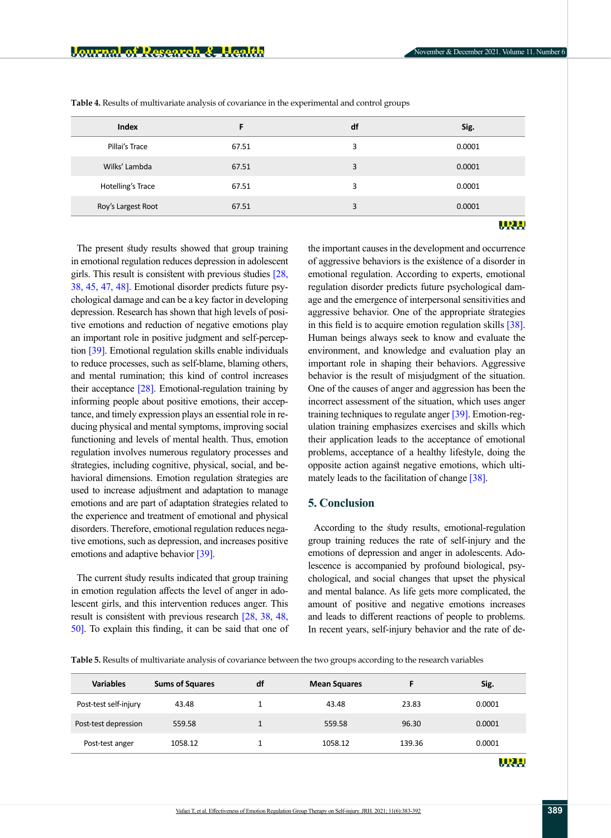| Index              | F     | df | Sig.   |
|--------------------|-------|----|--------|
| Pillai's Trace     | 67.51 | 3  | 0.0001 |
| Wilks' Lambda      | 67.51 | 3  | 0.0001 |
| Hotelling's Trace  | 67.51 | 3  | 0.0001 |
| Roy's Largest Root | 67.51 | 3  | 0.0001 |
|                    |       |    | URH    |

<span id="page-6-0"></span>**Table 4.** Results of multivariate analysis of covariance in the experimental and control groups

The present study results showed that group training in emotional regulation reduces depression in adolescent girls. This result is consistent with previous studies [28, [38,](#page-8-17) [45,](#page-9-3) 47, [48\]](#page-9-6). Emotional disorder predicts future psychological damage and can be a key factor in developing depression. Research has shown that high levels of positive emotions and reduction of negative emotions play an important role in positive judgment and self-perception [\[39\]](#page-8-18). Emotional regulation skills enable individuals to reduce processes, such as self-blame, blaming others, and mental rumination; this kind of control increases their acceptance [\[28\]](#page-8-7). Emotional-regulation training by informing people about positive emotions, their acceptance, and timely expression plays an essential role in reducing physical and mental symptoms, improving social functioning and levels of mental health. Thus, emotion regulation involves numerous regulatory processes and strategies, including cognitive, physical, social, and behavioral dimensions. Emotion regulation strategies are used to increase adjustment and adaptation to manage emotions and are part of adaptation strategies related to the experience and treatment of emotional and physical disorders. Therefore, emotional regulation reduces negative emotions, such as depression, and increases positive emotions and adaptive behavior [\[39\]](#page-8-18).

The current study results indicated that group training in emotion regulation affects the level of anger in adolescent girls, and this intervention reduces anger. This result is consistent with previous research [\[28,](#page-8-7) [38,](#page-8-17) [48,](#page-9-6) [50\].](#page-9-5) To explain this finding, it can be said that one of the important causes in the development and occurrence of aggressive behaviors is the existence of a disorder in emotional regulation. According to experts, emotional regulation disorder predicts future psychological damage and the emergence of interpersonal sensitivities and aggressive behavior. One of the appropriate strategies in this field is to acquire emotion regulation skills [\[38\]](#page-8-17). Human beings always seek to know and evaluate the environment, and knowledge and evaluation play an important role in shaping their behaviors. Aggressive behavior is the result of misjudgment of the situation. One of the causes of anger and aggression has been the incorrect assessment of the situation, which uses anger training techniques to regulate anger [\[39\]](#page-8-18). Emotion-regulation training emphasizes exercises and skills which their application leads to the acceptance of emotional problems, acceptance of a healthy lifestyle, doing the opposite action against negative emotions, which ultimately leads to the facilitation of change [\[38\]](#page-8-17).

## **5. Conclusion**

According to the study results, emotional-regulation group training reduces the rate of self-injury and the emotions of depression and anger in adolescents. Adolescence is accompanied by profound biological, psychological, and social changes that upset the physical and mental balance. As life gets more complicated, the amount of positive and negative emotions increases and leads to different reactions of people to problems. In recent years, self-injury behavior and the rate of de-

<span id="page-6-1"></span>**Table 5.** Results of multivariate analysis of covariance between the two groups according to the research variables

| <b>Variables</b>      | <b>Sums of Squares</b> | df | <b>Mean Squares</b> |        | Sig.     |
|-----------------------|------------------------|----|---------------------|--------|----------|
| Post-test self-injury | 43.48                  |    | 43.48               | 23.83  | 0.0001   |
| Post-test depression  | 559.58                 |    | 559.58              | 96.30  | 0.0001   |
| Post-test anger       | 1058.12                |    | 1058.12             | 139.36 | 0.0001   |
|                       |                        |    |                     |        | ________ |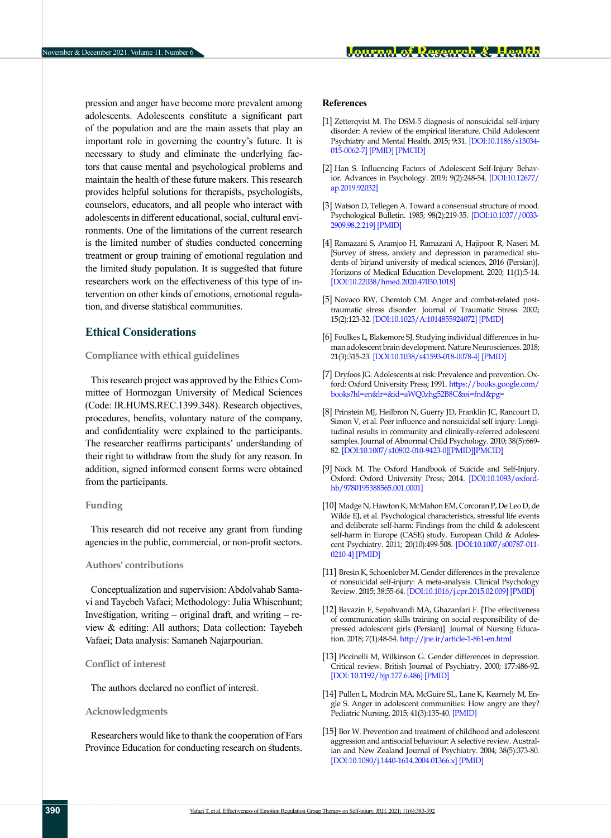pression and anger have become more prevalent among adolescents. Adolescents constitute a significant part of the population and are the main assets that play an important role in governing the country's future. It is necessary to study and eliminate the underlying factors that cause mental and psychological problems and maintain the health of these future makers. This research provides helpful solutions for therapists, psychologists, counselors, educators, and all people who interact with adolescents in different educational, social, cultural environments. One of the limitations of the current research is the limited number of studies conducted concerning treatment or group training of emotional regulation and the limited study population. It is suggested that future researchers work on the effectiveness of this type of intervention on other kinds of emotions, emotional regulation, and diverse statistical communities.

# **Ethical Considerations**

### **Compliance with ethical guidelines**

This research project was approved by the Ethics Committee of Hormozgan University of Medical Sciences (Code: IR.HUMS.REC.1399.348). Research objectives, procedures, benefits, voluntary nature of the company, and confidentiality were explained to the participants. The researcher reaffirms participants' understanding of their right to withdraw from the study for any reason. In addition, signed informed consent forms were obtained from the participants.

### **Funding**

This research did not receive any grant from funding agencies in the public, commercial, or non-profit sectors.

### **Authors' contributions**

Conceptualization and supervision: Abdolvahab Samavi and Tayebeh Vafaei; Methodology: Julia Whisenhunt; Investigation, writing – original draft, and writing – review & editing: All authors; Data collection: Tayebeh Vafaei; Data analysis: Samaneh Najarpourian.

### **Conflict of interest**

The authors declared no conflict of interest.

### **Acknowledgments**

Researchers would like to thank the cooperation of Fars Province Education for conducting research on students.

### **References**

- <span id="page-7-0"></span>[1] Zetterqvist M. The DSM-5 diagnosis of nonsuicidal self-injury disorder: A review of the empirical literature. Child Adolescent Psychiatry and Mental Health. 2015; 9:31. [[DOI:10.1186/s13034-](https://doi.org/10.1186/s13034-015-0062-7) [015-0062-7](https://doi.org/10.1186/s13034-015-0062-7)] [\[PMID\]](https://pubmed.ncbi.nlm.nih.gov/26417387/) [\[PMCID](http://www.ncbi.nlm.nih.gov/pmc/articles/pmc4584484/)]
- <span id="page-7-1"></span>[2] Han S. Influencing Factors of Adolescent Self-Injury Behavior. Advances in Psychology. 2019; 9(2):248-54. [\[DOI:10.12677/](https://www.researchgate.net/publication/330792488_Influencing_Factors_of_Adolescent_Self-Injury_Behavior) [ap.2019.92032\]](https://www.researchgate.net/publication/330792488_Influencing_Factors_of_Adolescent_Self-Injury_Behavior)
- <span id="page-7-2"></span>[3] Watson D, Tellegen A. Toward a consensual structure of mood. Psychological Bulletin. 1985; 98(2):219-35. [[DOI:10.1037//0033-](https://doi.org/10.1037/0033-2909.98.2.219) [2909.98.2.219](https://doi.org/10.1037/0033-2909.98.2.219)]̍ [[PMID\]](https://pubmed.ncbi.nlm.nih.gov/3901060/)
- <span id="page-7-3"></span>[4] Ramazani S, Aramjoo H, Ramazani A, Hajipoor R, Naseri M. [Survey of stress, anxiety and depression in paramedical students of birjand university of medical sciences, 2016 (Persian)]. Horizons of Medical Education Development. 2020; 11(1):5-14. [[DOI:10.22038/hmed.2020.47030.1018](https://dx.doi.org/10.22038/hmed.2020.47030.1018)]
- <span id="page-7-4"></span>[5] Novaco RW, Chemtob CM. Anger and combat-related posttraumatic stress disorder. Journal of Traumatic Stress. 2002; 15(2):123-32. [[DOI:10.1023/A:1014855924072\]](https://doi.org/10.1023/a:1014855924072) [\[PMID](https://pubmed.ncbi.nlm.nih.gov/12013063/)]
- <span id="page-7-5"></span>[6] Foulkes L, Blakemore SJ. Studying individual differences in human adolescent brain development. Nature Neurosciences. 2018; 21(3):315-23. [[DOI:10.1038/s41593-018-0078-4\]](https://doi.org/10.1038/s41593-018-0078-4) [\[PMID\]](https://pubmed.ncbi.nlm.nih.gov/29403031/)
- <span id="page-7-6"></span>[7] Dryfoos JG. Adolescents at risk: Prevalence and prevention. Oxford: Oxford University Press; 1991. [https://books.google.com/](https://books.google.com/books?hl=en&lr=&id=aWQ0zhg52B8C&oi=fnd&pg=PR7&dq=Adolescents+at+risk:+Prevalence+and+prevention&ots=cOXveWLHQJ&sig=T57Qoi_yHtzZlHbM1OFpteKbr3k#v=onepage&q=Adolescents%20at%20risk%3A%20Prevalence%20and%20prevention&f=false) [books?hl=en&lr=&id=aWQ0zhg52B8C&oi=fnd&pg=](https://books.google.com/books?hl=en&lr=&id=aWQ0zhg52B8C&oi=fnd&pg=PR7&dq=Adolescents+at+risk:+Prevalence+and+prevention&ots=cOXveWLHQJ&sig=T57Qoi_yHtzZlHbM1OFpteKbr3k#v=onepage&q=Adolescents%20at%20risk%3A%20Prevalence%20and%20prevention&f=false)
- <span id="page-7-7"></span>[8] Prinstein MJ, Heilbron N, Guerry JD, Franklin JC, Rancourt D, Simon V, et al. Peer influence and nonsuicidal self injury: Longitudinal results in community and clinically-referred adolescent samples. Journal of Abnormal Child Psychology. 2010; 38(5):669- 82. [[DOI:10.1007/s10802-010-9423-0\]](https://doi.org/10.1007/s10802-010-9423-0)[\[PMID](https://pubmed.ncbi.nlm.nih.gov/20437255/)][\[PMCID\]](http://www.ncbi.nlm.nih.gov/pmc/articles/pmc3686282/)
- <span id="page-7-8"></span>[9] Nock M. The Oxford Handbook of Suicide and Self-Injury. Oxford: Oxford University Press; 2014. [\[DOI:10.1093/oxford](https://doi.org/10.1093/oxfordhb/9780195388565.001.0001)[hb/9780195388565.001.0001](https://doi.org/10.1093/oxfordhb/9780195388565.001.0001)]
- <span id="page-7-9"></span>[10] Madge N, Hawton K, McMahon EM, Corcoran P, De Leo D, de Wilde EJ, et al. Psychological characteristics, stressful life events and deliberate self-harm: Findings from the child & adolescent self-harm in Europe (CASE) study. European Child & Adolescent Psychiatry. 2011; 20(10):499-508. [\[DOI:10.1007/s00787-011-](https://doi.org/10.1007/s00787-011-0210-4) [0210-4\]](https://doi.org/10.1007/s00787-011-0210-4) [[PMID](https://pubmed.ncbi.nlm.nih.gov/21847620/)]
- <span id="page-7-10"></span>[11] Bresin K, Schoenleber M. Gender differences in the prevalence of nonsuicidal self-injury: A meta-analysis. Clinical Psychology Review. 2015; 38:55-64. [[DOI:10.1016/j.cpr.2015.02.009\]](https://doi.org/10.1016/j.cpr.2015.02.009) [[PMID](https://pubmed.ncbi.nlm.nih.gov/25795294/)]
- <span id="page-7-11"></span>[12] Bavazin F, Sepahvandi MA, Ghazanfari F. [The effectiveness of communication skills training on social responsibility of depressed adolescent girls (Persian)]. Journal of Nursing Education. 2018; 7(1):48-54.<http://jne.ir/article-1-861-en.html>
- <span id="page-7-12"></span>[13] Piccinelli M, Wilkinson G. Gender differences in depression. Critical review. British Journal of Psychiatry. 2000; 177:486-92. [[DOI: 10.1192/bjp.177.6.486\]](https://doi.org/10.1192/bjp.177.6.486) [\[PMID\]](https://pubmed.ncbi.nlm.nih.gov/11102321/)
- <span id="page-7-13"></span>[14] Pullen L, Modrcin MA, McGuire SL, Lane K, Kearnely M, Engle S. Anger in adolescent communities: How angry are they? Pediatric Nursing. 2015; 41(3):135-40. [\[PMID\]](https://pubmed.ncbi.nlm.nih.gov/26201172/)
- <span id="page-7-14"></span>[15] Bor W. Prevention and treatment of childhood and adolescent aggression and antisocial behaviour: A selective review. Australian and New Zealand Journal of Psychiatry. 2004; 38(5):373-80. [[DOI:10.1080/j.1440-1614.2004.01366.x](https://doi.org/10.1080/j.1440-1614.2004.01366.x)] [[PMID](https://pubmed.ncbi.nlm.nih.gov/15144517/)]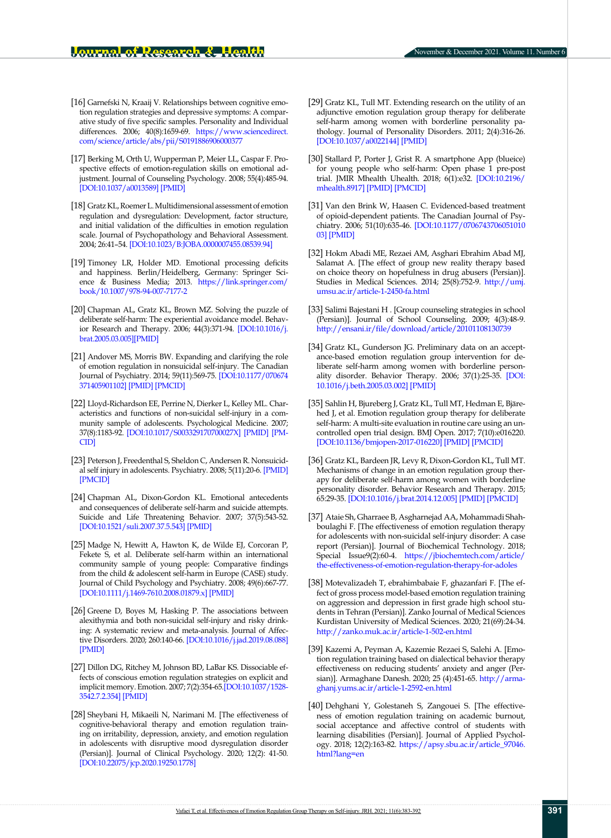- <span id="page-8-0"></span>[16] Garnefski N, Kraaij V. Relationships between cognitive emotion regulation strategies and depressive symptoms: A comparative study of five specific samples. Personality and Individual differences. 2006; 40(8):1659-69. [https://www.sciencedirect.](https://www.sciencedirect.com/science/article/abs/pii/S0191886906000377) [com/science/article/abs/pii/S0191886906000377](https://www.sciencedirect.com/science/article/abs/pii/S0191886906000377)
- <span id="page-8-1"></span>[17] Berking M, Orth U, Wupperman P, Meier LL, Caspar F. Prospective effects of emotion-regulation skills on emotional adjustment. Journal of Counseling Psychology. 2008; 55(4):485-94. [[DOI:10.1037/a0013589](https://doi.org/10.1037/a0013589)] [[PMID\]](https://pubmed.ncbi.nlm.nih.gov/22017555/)
- <span id="page-8-2"></span>[18] Gratz KL, Roemer L. Multidimensional assessment of emotion regulation and dysregulation: Development, factor structure, and initial validation of the difficulties in emotion regulation scale. Journal of Psychopathology and Behavioral Assessment. 2004; 26:41–54. [[DOI:10.1023/B:JOBA.0000007455.08539.94\]](https://doi.org/10.1023/B:JOBA.0000007455.08539.94)
- <span id="page-8-3"></span>[19] Timoney LR, Holder MD. Emotional processing deficits and happiness. Berlin/Heidelberg, Germany: Springer Science & Business Media; 2013. [https://link.springer.com/](https://link.springer.com/book/10.1007/978-94-007-7177-2) [book/10.1007/978-94-007-7177-2](https://link.springer.com/book/10.1007/978-94-007-7177-2)
- <span id="page-8-4"></span>[20] Chapman AL, Gratz KL, Brown MZ. Solving the puzzle of deliberate self-harm: The experiential avoidance model. Behavior Research and Therapy. 2006; 44(3):371-94. [[DOI:10.1016/j.](https://doi.org/10.1016/j.brat.2005.03.005) [brat.2005.03.005](https://doi.org/10.1016/j.brat.2005.03.005)][\[PMID\]](https://pubmed.ncbi.nlm.nih.gov/16446150/)
- <span id="page-8-14"></span>[21] Andover MS, Morris BW. Expanding and clarifying the role of emotion regulation in nonsuicidal self-injury. The Canadian Journal of Psychiatry. 2014; 59(11):569-75. [[DOI:10.1177/070674](https://doi.org/10.1177/070674371405901102) [371405901102\]](https://doi.org/10.1177/070674371405901102) [[PMID](https://pubmed.ncbi.nlm.nih.gov/25565472/)] [\[PMCID](http://www.ncbi.nlm.nih.gov/pmc/articles/pmc4244875/)]
- [22] Lloyd-Richardson EE, Perrine N, Dierker L, Kelley ML. Characteristics and functions of non-suicidal self-injury in a community sample of adolescents. Psychological Medicine. 2007; 37(8):1183-92. [\[DOI:10.1017/S003329170700027X](https://doi.org/10.1017/s003329170700027x)] [[PMID\]](https://pubmed.ncbi.nlm.nih.gov/17349105/) [[PM-](http://www.ncbi.nlm.nih.gov/pmc/articles/pmc2538378/)[CID\]](http://www.ncbi.nlm.nih.gov/pmc/articles/pmc2538378/)
- [23] Peterson J, Freedenthal S, Sheldon C, Andersen R. Nonsuicidal self injury in adolescents. Psychiatry. 2008; 5(11):20-6. [\[PMID](https://pubmed.ncbi.nlm.nih.gov/19724714/)] [[PMCID](http://www.ncbi.nlm.nih.gov/pmc/articles/pmc2695720/)]
- [24] Chapman AL, Dixon-Gordon KL. Emotional antecedents and consequences of deliberate self-harm and suicide attempts. Suicide and Life Threatening Behavior. 2007; 37(5):543-52. [[DOI:10.1521/suli.2007.37.5.543](https://doi.org/10.1521/suli.2007.37.5.543)] [\[PMID\]](https://pubmed.ncbi.nlm.nih.gov/17967121/)
- [25] Madge N, Hewitt A, Hawton K, de Wilde EJ, Corcoran P, Fekete S, et al. Deliberate self-harm within an international community sample of young people: Comparative findings from the child & adolescent self-harm in Europe (CASE) study. Journal of Child Psychology and Psychiatry. 2008; 49(6):667-77. [[DOI:10.1111/j.1469-7610.2008.01879.x](https://doi.org/10.1111/j.1469-7610.2008.01879.x)] [\[PMID](https://pubmed.ncbi.nlm.nih.gov/18341543/)]
- <span id="page-8-5"></span>[26] Greene D, Boyes M, Hasking P. The associations between alexithymia and both non-suicidal self-injury and risky drinking: A systematic review and meta-analysis. Journal of Affective Disorders. 2020; 260:140-66. [\[DOI:10.1016/j.jad.2019.08.088](https://doi.org/10.1016/j.jad.2019.08.088)] [[PMID\]](https://pubmed.ncbi.nlm.nih.gov/31494366/)
- <span id="page-8-6"></span>[27] Dillon DG, Ritchey M, Johnson BD, LaBar KS. Dissociable effects of conscious emotion regulation strategies on explicit and implicit memory. Emotion. 2007; 7(2):354-65.[[DOI:10.1037/1528-](https://doi.org/10.1037/1528-3542.7.2.354) [3542.7.2.354](https://doi.org/10.1037/1528-3542.7.2.354)] [[PMID\]](https://pubmed.ncbi.nlm.nih.gov/17516813/)
- <span id="page-8-7"></span>[28] Sheybani H, Mikaeili N, Narimani M. [The effectiveness of cognitive-behavioral therapy and emotion regulation training on irritability, depression, anxiety, and emotion regulation in adolescents with disruptive mood dysregulation disorder (Persian)]. Journal of Clinical Psychology. 2020; 12(2): 41-50. [[DOI:10.22075/jcp.2020.19250.1778](https://dx.doi.org/10.22075/jcp.2020.19250.1778)]
- <span id="page-8-8"></span>[29] Gratz KL, Tull MT. Extending research on the utility of an adjunctive emotion regulation group therapy for deliberate self-harm among women with borderline personality pathology. Journal of Personality Disorders. 2011; 2(4):316-26. [[DOI:10.1037/a0022144\]](https://doi.org/10.1037/a0022144) [[PMID\]](https://pubmed.ncbi.nlm.nih.gov/22448804/)
- <span id="page-8-9"></span>[30] Stallard P, Porter J, Grist R. A smartphone App (blueice) for young people who self-harm: Open phase 1 pre-post trial. JMIR Mhealth Uhealth. 2018; 6(1):e32. [\[DOI:10.2196/](https://doi.org/10.2196/mhealth.8917) [mhealth.8917\]](https://doi.org/10.2196/mhealth.8917) [\[PMID](https://pubmed.ncbi.nlm.nih.gov/29382632/)] [\[PMCID](http://www.ncbi.nlm.nih.gov/pmc/articles/pmc5811647/)]
- <span id="page-8-10"></span>[31] Van den Brink W, Haasen C. Evidenced-based treatment of opioid-dependent patients. The Canadian Journal of Psychiatry. 2006; 51(10):635-46. [\[DOI:10.1177/0706743706051010](https://doi.org/10.1177/070674370605101003) [03\]](https://doi.org/10.1177/070674370605101003) [[PMID](https://pubmed.ncbi.nlm.nih.gov/17052031/)]
- <span id="page-8-11"></span>[32] Hokm Abadi ME, Rezaei AM, Asghari Ebrahim Abad MJ, Salamat A. [The effect of group new reality therapy based on choice theory on hopefulness in drug abusers (Persian)]. Studies in Medical Sciences. 2014; 25(8):752-9. [http://umj.](http://umj.umsu.ac.ir/article-1-2450-fa.html) [umsu.ac.ir/article-1-2450-fa.html](http://umj.umsu.ac.ir/article-1-2450-fa.html)
- <span id="page-8-12"></span>[33] Salimi Bajestani H . [Group counseling strategies in school (Persian)]. Journal of School Counseling. 2009; 4(3):48-9. [http://ensani.ir/file/download/article/20101108130739](http://ensani.ir/file/download/article/20101108130739-%D8%B1%D8%A7%D9%87%D8%A8%D8%B1%D8%AF%D9%87%D8%A7%D9%8A%20%D9%85%D8%B4%D8%A7%D9%88%D8%B1%D9%87%20%DA%AF%D8%B1%D9%88%D9%87%D9%8A%20%D8%AF%D8%B1%20%D9%85%D8%AF%D8%B1%D8%B3%D9%87%20%D8%AE%D8%AF%D9%85%D8%A7%D8%AA%20%D8%B1%D8%A7%D9%87%D9%86%D9%85%D8%A7%D9%8A%D9%8A%20%D9%85%D8%B4%D8%A7%D9%88%D8%B1%D9%87%20%D8%AF%D8%B1%20%D9%85%D8%AF%D8%A7%D8%B1%D8%B3%20.pdf)
- <span id="page-8-13"></span>[34] Gratz KL, Gunderson JG. Preliminary data on an acceptance-based emotion regulation group intervention for deliberate self-harm among women with borderline personality disorder. Behavior Therapy. 2006; 37(1):25-35. [[DOI:](https://doi.org/10.1016/j.beth.2005.03.002) [10.1016/j.beth.2005.03.002\]](https://doi.org/10.1016/j.beth.2005.03.002) [[PMID](https://pubmed.ncbi.nlm.nih.gov/16942958/)]
- [35] Sahlin H, Bjureberg J, Gratz KL, Tull MT, Hedman E, Bjärehed J, et al. Emotion regulation group therapy for deliberate self-harm: A multi-site evaluation in routine care using an uncontrolled open trial design. BMJ Open. 2017; 7(10):e016220. [[DOI:10.1136/bmjopen-2017-016220\]](https://doi.org/10.1136/bmjopen-2017-016220) [[PMID](https://pubmed.ncbi.nlm.nih.gov/28982814/)] [\[PMCID\]](http://www.ncbi.nlm.nih.gov/pmc/articles/pmc5639990/)
- <span id="page-8-15"></span>[36] Gratz KL, Bardeen JR, Levy R, Dixon-Gordon KL, Tull MT. Mechanisms of change in an emotion regulation group therapy for deliberate self-harm among women with borderline personality disorder. Behavior Research and Therapy. 2015; 65:29-35. [\[DOI:10.1016/j.brat.2014.12.005\]](https://doi.org/10.1016/j.brat.2014.12.005) [[PMID\]](https://pubmed.ncbi.nlm.nih.gov/25557395/) [\[PMCID\]](http://www.ncbi.nlm.nih.gov/pmc/articles/pmc4306622/)
- <span id="page-8-16"></span>[37] Ataie Sh, Gharraee B, Asgharnejad AA, Mohammadi Shahboulaghi F. [The effectiveness of emotion regulation therapy for adolescents with non-suicidal self-injury disorder: A case report (Persian)]. Journal of Biochemical Technology. 2018; Special Issue9(2):60-4. [https://jbiochemtech.com/article/](https://jbiochemtech.com/article/the-effectiveness-of-emotion-regulation-therapy-for-adolescents-with-non-suicidal-self-injury-disorder-a-case-report) [the-effectiveness-of-emotion-regulation-therapy-for-adoles](https://jbiochemtech.com/article/the-effectiveness-of-emotion-regulation-therapy-for-adolescents-with-non-suicidal-self-injury-disorder-a-case-report)
- <span id="page-8-17"></span>[38] Motevalizadeh T, ebrahimbabaie F, ghazanfari F. [The effect of gross process model-based emotion regulation training on aggression and depression in first grade high school students in Tehran (Persian)]. Zanko Journal of Medical Sciences Kurdistan University of Medical Sciences. 2020; 21(69):24-34. <http://zanko.muk.ac.ir/article-1-502-en.html>
- <span id="page-8-18"></span>[39] Kazemi A, Peyman A, Kazemie Rezaei S, Salehi A. [Emotion regulation training based on dialectical behavior therapy effectiveness on reducing students' anxiety and anger (Persian)]. Armaghane Danesh. 2020; 25 (4):451-65. [http://arma](http://armaghanj.yums.ac.ir/article-1-2592-en.html)[ghanj.yums.ac.ir/article-1-2592-en.html](http://armaghanj.yums.ac.ir/article-1-2592-en.html)
- <span id="page-8-19"></span>[40] Dehghani Y, Golestaneh S, Zangouei S. [The effectiveness of emotion regulation training on academic burnout, social acceptance and affective control of students with learning disabilities (Persian)]. Journal of Applied Psychology. 2018; 12(2):163-82. [https://apsy.sbu.ac.ir/article\\_97046.](https://apsy.sbu.ac.ir/article_97046.html?lang=en) [html?lang=en](https://apsy.sbu.ac.ir/article_97046.html?lang=en)